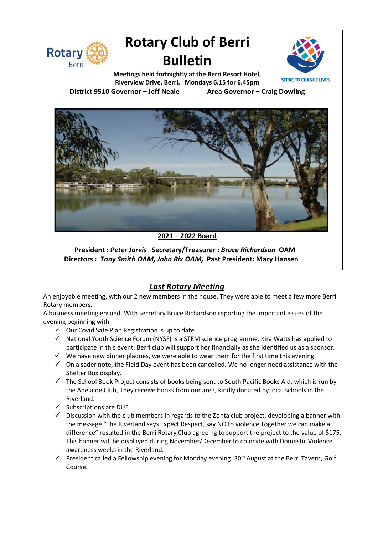

# **Rotary Club of Berri Bulletin**



**Meetings held fortnightly at the Berri Resort Hotel, Riverview Drive, Berri. Mondays 6.15 for 6.45pm District 9510 Governor – Jeff Neale Area Governor – Craig Dowling**



**2021 – 2022 Board**

**President :** *Peter Jarvis* **Secretary/Treasurer :** *Bruce Richardson* **OAM Directors :** *Tony Smith OAM, John Rix OAM,* **Past President: Mary Hansen**

### *Last Rotary Meeting*

An enjoyable meeting, with our 2 new members in the house. They were able to meet a few more Berri Rotary members.

A business meeting ensued. With secretary Bruce Richardson reporting the important issues of the evening beginning with :-

- $\checkmark$  Our Covid Safe Plan Registration is up to date.
- $\checkmark$  National Youth Science Forum (NYSF) is a STEM science programme. Kira Watts has applied to participate in this event. Berri club will support her financially as she identified us as a sponsor.
- $\checkmark$  We have new dinner plaques, we were able to wear them for the first time this evening
- $\checkmark$  On a sader note, the Field Day event has been cancelled. We no longer need assistance with the Shelter Box display.
- $\checkmark$  The School Book Project consists of books being sent to South Pacific Books Aid, which is run by the Adelaide Club, They receive books from our area, kindly donated by local schools in the Riverland.
- $\checkmark$  Subscriptions are DUE
- $\checkmark$  Discussion with the club members in regards to the Zonta club project, developing a banner with the message "The Riverland says Expect Respect, say NO to violence Together we can make a difference" resulted in the Berri Rotary Club agreeing to support the project to the value of \$175. This banner will be displayed during November/December to coincide with Domestic Violence awareness weeks in the Riverland.
- $\checkmark$  President called a Fellowship evening for Monday evening. 30<sup>th</sup> August at the Berri Tavern, Golf Course.